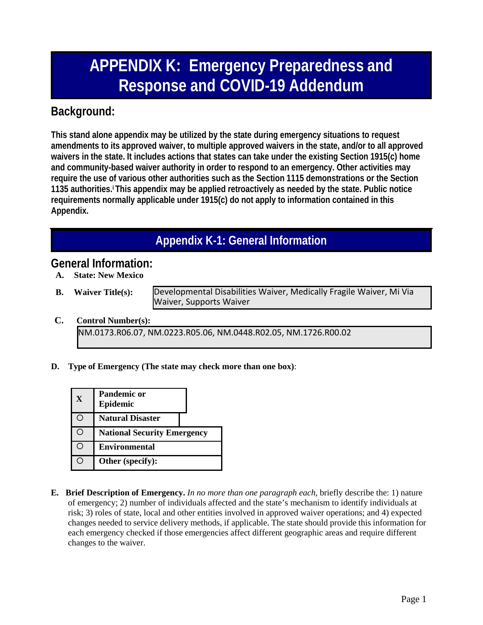# **APPENDIX K: Emergency Preparedness and Response and COVID-19 Addendum**

### **Background:**

**This stand alone appendix may be utilized by the state during emergency situations to request amendments to its approved waiver, to multiple approved waivers in the state, and/or to all approved waivers in the state. It includes actions that states can take under the existing Section 1915(c) home and community-based waiver authority in order to respond to an emergency. Other activities may require the use of various other authorities such as the Section 1115 demonstrations or the Section 1135 authorities.i This appendix may be applied retroactively as needed by the state. Public notice requirements normally applicable under 1915(c) do not apply to information contained in this Appendix.**

## **Appendix K-1: General Information**

### **General Information:**

- **A. State: New Mexico**
- 

**B. Waiver Title(s):** Developmental Disabilities Waiver, Medically Fragile Waiver, Mi Via Waiver, Supports Waiver

- **C. Control Number(s):** NM.0173.R06.07, NM.0223.R05.06, NM.0448.R02.05, NM.1726.R00.02
- **D. Type of Emergency (The state may check more than one box)**:

| X   | <b>Pandemic or</b><br>Epidemic     |
|-----|------------------------------------|
|     | <b>Natural Disaster</b>            |
| - ) | <b>National Security Emergency</b> |
| ÷.  | <b>Environmental</b>               |
|     | Other (specify):                   |

**E. Brief Description of Emergency.** *In no more than one paragraph each*, briefly describe the: 1) nature of emergency; 2) number of individuals affected and the state's mechanism to identify individuals at risk; 3) roles of state, local and other entities involved in approved waiver operations; and 4) expected changes needed to service delivery methods, if applicable. The state should provide this information for each emergency checked if those emergencies affect different geographic areas and require different changes to the waiver.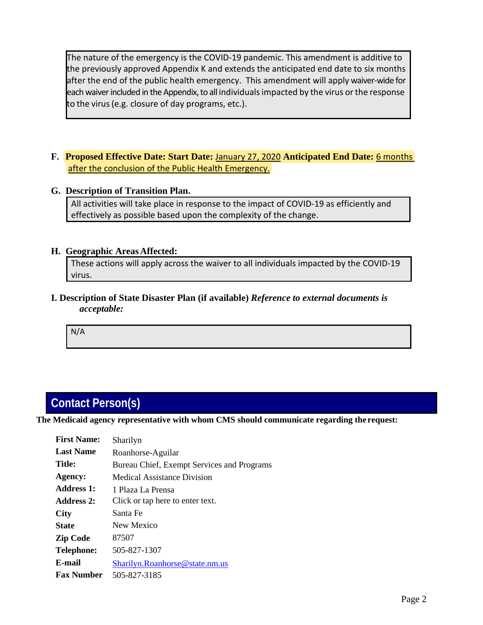The nature of the emergency is the COVID-19 pandemic. This amendment is additive to the previously approved Appendix K and extends the anticipated end date to six months after the end of the public health emergency. This amendment will apply waiver-wide for each waiver included in the Appendix, to all individuals impacted by the virus or the response to the virus(e.g. closure of day programs, etc.).

- **F. Proposed Effective Date: Start Date:** January 27, 2020 **Anticipated End Date:** 6 months after the conclusion of the Public Health Emergency.
- **G. Description of Transition Plan.**

All activities will take place in response to the impact of COVID-19 as efficiently and effectively as possible based upon the complexity of the change.

#### **H. Geographic AreasAffected:**

These actions will apply across the waiver to all individuals impacted by the COVID-19 virus.

**I. Description of State Disaster Plan (if available)** *Reference to external documents is acceptable:*

N/A

### **Contact Person(s)**

**The Medicaid agency representative with whom CMS should communicate regarding the request:**

| <b>First Name:</b> | Sharilyn                                   |
|--------------------|--------------------------------------------|
| <b>Last Name</b>   | Roanhorse-Aguilar                          |
| Title:             | Bureau Chief, Exempt Services and Programs |
| <b>Agency:</b>     | Medical Assistance Division                |
| Address 1:         | 1 Plaza La Prensa                          |
| Address 2:         | Click or tap here to enter text.           |
| <b>City</b>        | Santa Fe                                   |
| <b>State</b>       | New Mexico                                 |
| <b>Zip Code</b>    | 87507                                      |
| <b>Telephone:</b>  | 505-827-1307                               |
| E-mail             | Sharilyn.Roanhorse@state.nm.us             |
| <b>Fax Number</b>  | 505-827-3185                               |